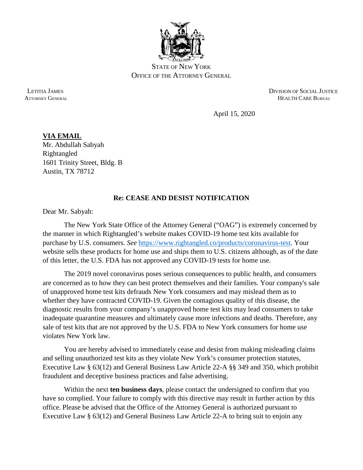

STATE OF NEW YORK OFFICE OF THE ATTORNEY GENERAL

 LETITIA JAMES DIVISION OF SOCIAL JUSTICE ATTORNEY GENERAL **HEALTH CARE BUREAU** 

April 15, 2020

**VIA EMAIL** Mr. Abdullah Sabyah Rightangled 1601 Trinity Street, Bldg. B Austin, TX 78712

## **Re: CEASE AND DESIST NOTIFICATION**

Dear Mr. Sabyah:

The New York State Office of the Attorney General ("OAG") is extremely concerned by the manner in which Rightangled's website makes COVID-19 home test kits available for purchase by U.S. consumers. *See* [https://www.rightangled.co/products/coronavirus-test.](https://www.rightangled.co/products/coronavirus-test) Your website sells these products for home use and ships them to U.S. citizens although, as of the date of this letter, the U.S. FDA has not approved any COVID-19 tests for home use.

The 2019 novel coronavirus poses serious consequences to public health, and consumers are concerned as to how they can best protect themselves and their families. Your company's sale of unapproved home test kits defrauds New York consumers and may mislead them as to whether they have contracted COVID-19. Given the contagious quality of this disease, the diagnostic results from your company's unapproved home test kits may lead consumers to take inadequate quarantine measures and ultimately cause more infections and deaths. Therefore, any sale of test kits that are not approved by the U.S. FDA to New York consumers for home use violates New York law.

You are hereby advised to immediately cease and desist from making misleading claims and selling unauthorized test kits as they violate New York's consumer protection statutes, Executive Law § 63(12) and General Business Law Article 22-A §§ 349 and 350, which prohibit fraudulent and deceptive business practices and false advertising.

Within the next **ten business days**, please contact the undersigned to confirm that you have so complied. Your failure to comply with this directive may result in further action by this office. Please be advised that the Office of the Attorney General is authorized pursuant to Executive Law § 63(12) and General Business Law Article 22-A to bring suit to enjoin any